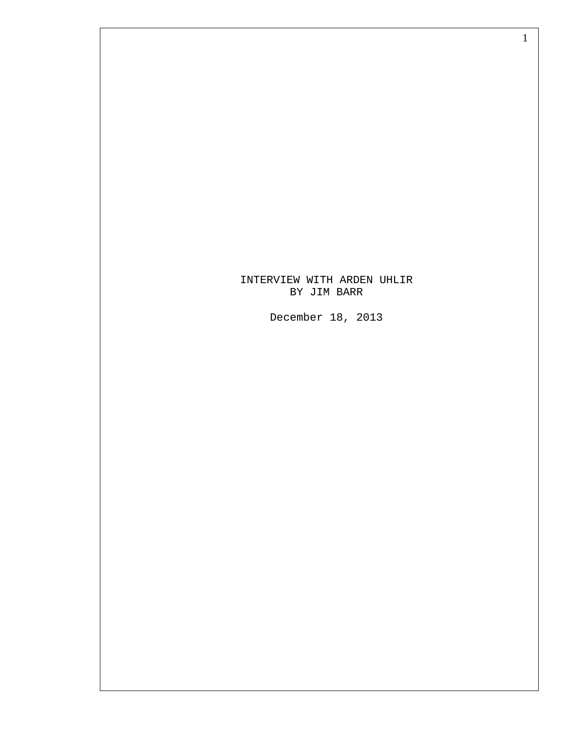## INTERVIEW WITH ARDEN UHLIR BY JIM BARR

1

December 18, 2013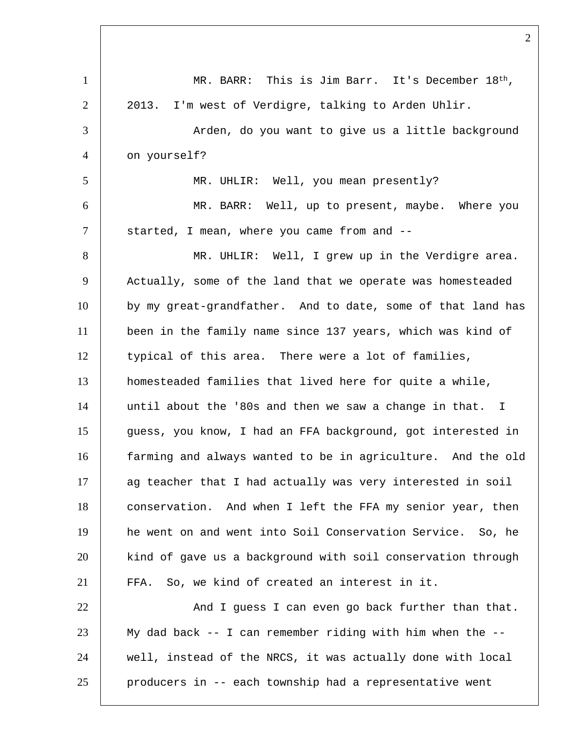| $\mathbf{1}$   | MR. BARR: This is Jim Barr. It's December 18th,             |
|----------------|-------------------------------------------------------------|
| $\overline{2}$ | I'm west of Verdigre, talking to Arden Uhlir.<br>2013.      |
| 3              | Arden, do you want to give us a little background           |
| $\overline{4}$ | on yourself?                                                |
| 5              | MR. UHLIR: Well, you mean presently?                        |
| 6              | MR. BARR: Well, up to present, maybe. Where you             |
| $\tau$         | started, I mean, where you came from and --                 |
| 8              | MR. UHLIR: Well, I grew up in the Verdigre area.            |
| 9              | Actually, some of the land that we operate was homesteaded  |
| 10             | by my great-grandfather. And to date, some of that land has |
| 11             | been in the family name since 137 years, which was kind of  |
| 12             | typical of this area. There were a lot of families,         |
| 13             | homesteaded families that lived here for quite a while,     |
| 14             | until about the '80s and then we saw a change in that. I    |
| 15             | guess, you know, I had an FFA background, got interested in |
| 16             | farming and always wanted to be in agriculture. And the old |
| 17             | ag teacher that I had actually was very interested in soil  |
| 18             | conservation. And when I left the FFA my senior year, then  |
| 19             | he went on and went into Soil Conservation Service. So, he  |
| 20             | kind of gave us a background with soil conservation through |
| 21             | FFA. So, we kind of created an interest in it.              |
| 22             | And I guess I can even go back further than that.           |
| 23             | My dad back -- I can remember riding with him when the --   |
| 24             | well, instead of the NRCS, it was actually done with local  |
| 25             | producers in -- each township had a representative went     |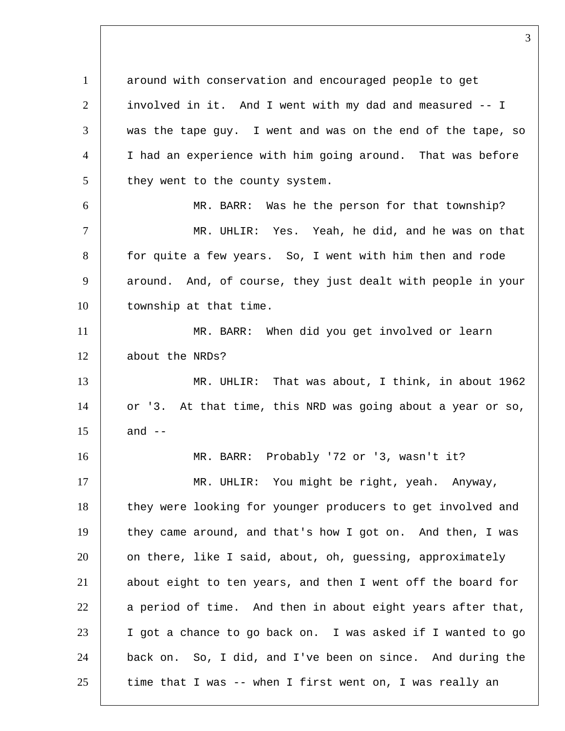1 around with conservation and encouraged people to get involved in it. And I went with my dad and measured -- I  $|$  was the tape guy. I went and was on the end of the tape, so I had an experience with him going around. That was before they went to the county system. MR. BARR: Was he the person for that township? MR. UHLIR: Yes. Yeah, he did, and he was on that 8 for quite a few years. So, I went with him then and rode 9 around. And, of course, they just dealt with people in your 10 | township at that time. MR. BARR: When did you get involved or learn 12 about the NRDs? MR. UHLIR: That was about, I think, in about 1962 14 or '3. At that time, this NRD was going about a year or so, and  $-$  MR. BARR: Probably '72 or '3, wasn't it? 17 | MR. UHLIR: You might be right, yeah. Anyway, 18 | they were looking for younger producers to get involved and 19 they came around, and that's how I got on. And then, I was 20 | on there, like I said, about, oh, guessing, approximately about eight to ten years, and then I went off the board for a period of time. And then in about eight years after that, I got a chance to go back on. I was asked if I wanted to go back on. So, I did, and I've been on since. And during the time that I was -- when I first went on, I was really an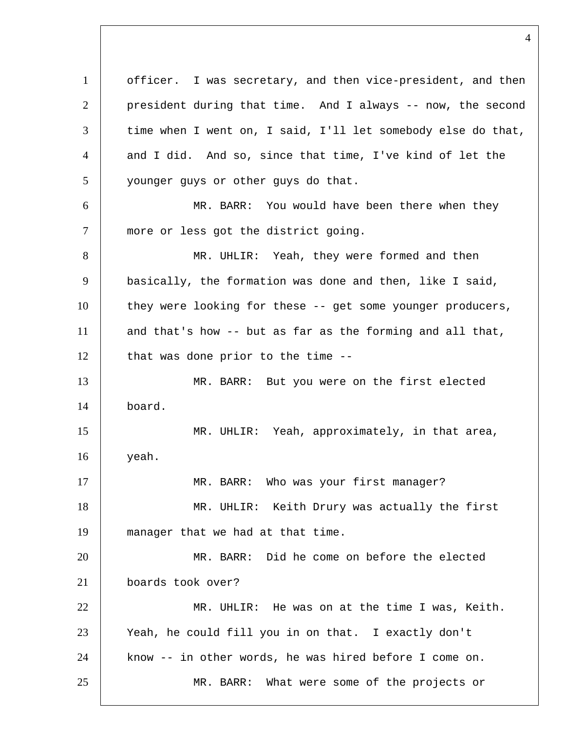officer. I was secretary, and then vice-president, and then president during that time. And I always -- now, the second 3 time when I went on, I said, I'll let somebody else do that, and I did. And so, since that time, I've kind of let the 5 younger guys or other guys do that. MR. BARR: You would have been there when they 7 | more or less got the district going. 8 MR. UHLIR: Yeah, they were formed and then basically, the formation was done and then, like I said, 10 | they were looking for these -- get some younger producers, and that's how -- but as far as the forming and all that, that was done prior to the time  $-$  MR. BARR: But you were on the first elected board. MR. UHLIR: Yeah, approximately, in that area, yeah. 17 | MR. BARR: Who was your first manager? 18 | MR. UHLIR: Keith Drury was actually the first manager that we had at that time. MR. BARR: Did he come on before the elected boards took over? MR. UHLIR: He was on at the time I was, Keith. 23 | Yeah, he could fill you in on that. I exactly don't know -- in other words, he was hired before I come on. MR. BARR: What were some of the projects or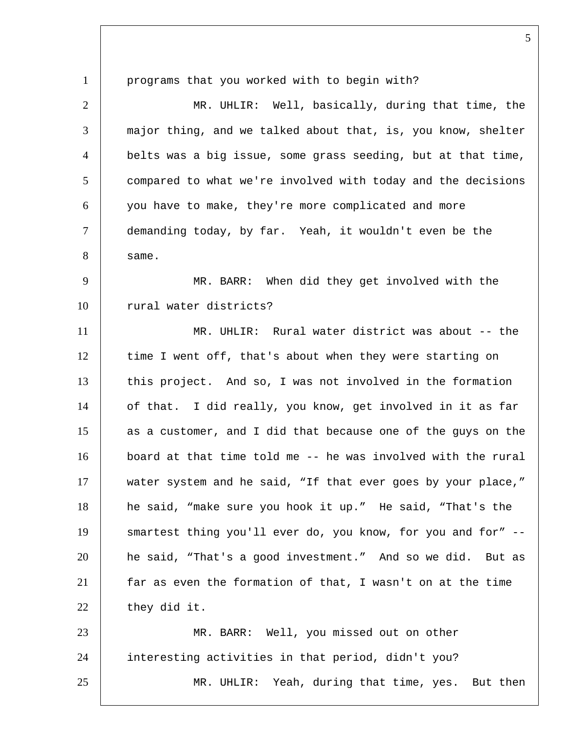1 programs that you worked with to begin with? 2 MR. UHLIR: Well, basically, during that time, the 3 | major thing, and we talked about that, is, you know, shelter 4 belts was a big issue, some grass seeding, but at that time, 5 compared to what we're involved with today and the decisions 6 you have to make, they're more complicated and more 7 demanding today, by far. Yeah, it wouldn't even be the  $8 \quad$  same. 9 | MR. BARR: When did they get involved with the 10 rural water districts? 11 MR. UHLIR: Rural water district was about -- the 12 time I went off, that's about when they were starting on 13 this project. And so, I was not involved in the formation 14 of that. I did really, you know, get involved in it as far 15 as a customer, and I did that because one of the guys on the 16 board at that time told me -- he was involved with the rural 17 | water system and he said, "If that ever goes by your place," 18 he said, "make sure you hook it up." He said, "That's the 19 | smartest thing you'll ever do, you know, for you and for" --20 he said, "That's a good investment." And so we did. But as 21 far as even the formation of that, I wasn't on at the time 22 they did it. 23 MR. BARR: Well, you missed out on other 24 interesting activities in that period, didn't you? 25 MR. UHLIR: Yeah, during that time, yes. But then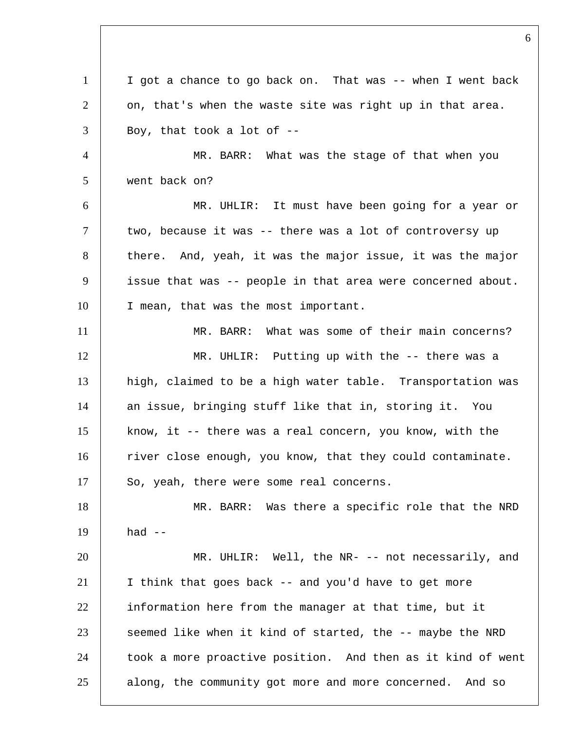I got a chance to go back on. That was -- when I went back on, that's when the waste site was right up in that area. | Boy, that took a lot of  $-$  MR. BARR: What was the stage of that when you went back on? MR. UHLIR: It must have been going for a year or 7 | two, because it was -- there was a lot of controversy up 8 there. And, yeah, it was the major issue, it was the major issue that was -- people in that area were concerned about. 10 I mean, that was the most important. MR. BARR: What was some of their main concerns? MR. UHLIR: Putting up with the -- there was a high, claimed to be a high water table. Transportation was 14 an issue, bringing stuff like that in, storing it. You know, it -- there was a real concern, you know, with the 16 Tiver close enough, you know, that they could contaminate. 17 So, yeah, there were some real concerns. 18 MR. BARR: Was there a specific role that the NRD had  $-$  MR. UHLIR: Well, the NR- -- not necessarily, and I think that goes back -- and you'd have to get more 22 information here from the manager at that time, but it seemed like when it kind of started, the  $-$ - maybe the NRD 24 took a more proactive position. And then as it kind of went 25 along, the community got more and more concerned. And so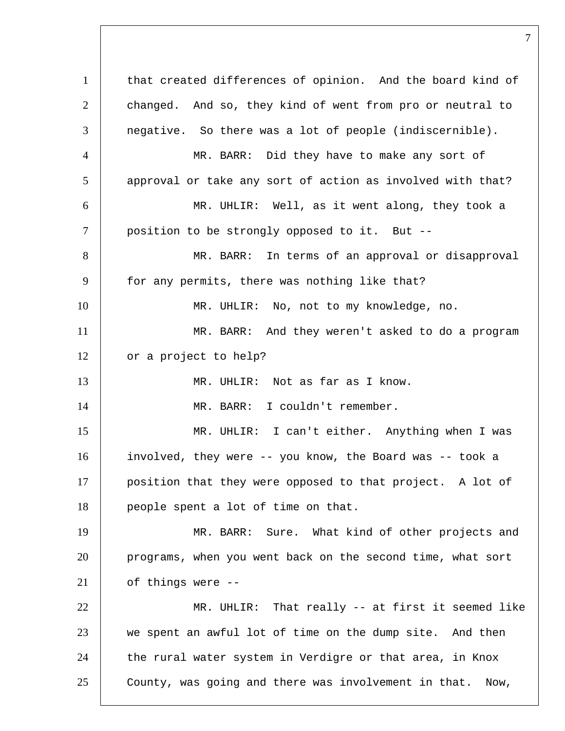1 that created differences of opinion. And the board kind of 2 changed. And so, they kind of went from pro or neutral to  $3$  negative. So there was a lot of people (indiscernible). 4 MR. BARR: Did they have to make any sort of 5 approval or take any sort of action as involved with that? 6 MR. UHLIR: Well, as it went along, they took a 7 | position to be strongly opposed to it. But --8 | MR. BARR: In terms of an approval or disapproval 9 | for any permits, there was nothing like that? 10 MR. UHLIR: No, not to my knowledge, no. 11 MR. BARR: And they weren't asked to do a program 12 or a project to help? 13 | MR. UHLIR: Not as far as I know. 14 MR. BARR: I couldn't remember. 15 MR. UHLIR: I can't either. Anything when I was 16 involved, they were -- you know, the Board was -- took a 17 position that they were opposed to that project. A lot of 18 people spent a lot of time on that. 19 | MR. BARR: Sure. What kind of other projects and 20 programs, when you went back on the second time, what sort 21 of things were -- 22 MR. UHLIR: That really -- at first it seemed like 23 we spent an awful lot of time on the dump site. And then  $24$  the rural water system in Verdigre or that area, in Knox 25 County, was going and there was involvement in that. Now,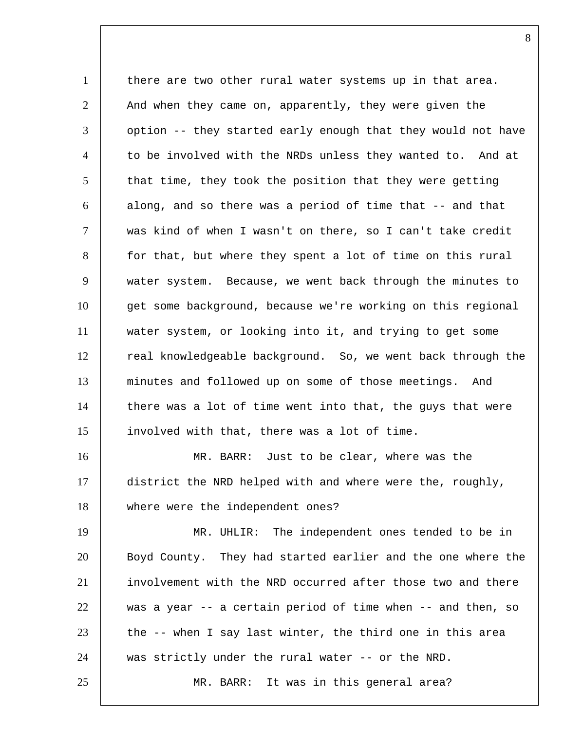1 there are two other rural water systems up in that area. 2 And when they came on, apparently, they were given the 3 | option -- they started early enough that they would not have 4 to be involved with the NRDs unless they wanted to. And at 5 that time, they took the position that they were getting 6 along, and so there was a period of time that -- and that 7 was kind of when I wasn't on there, so I can't take credit 8 for that, but where they spent a lot of time on this rural 9 water system. Because, we went back through the minutes to 10 get some background, because we're working on this regional 11 water system, or looking into it, and trying to get some 12 real knowledgeable background. So, we went back through the 13 minutes and followed up on some of those meetings. And  $14$  there was a lot of time went into that, the guys that were 15 involved with that, there was a lot of time. 16 MR. BARR: Just to be clear, where was the 17 district the NRD helped with and where were the, roughly, 18 where were the independent ones? 19 MR. UHLIR: The independent ones tended to be in 20 Boyd County. They had started earlier and the one where the 21 involvement with the NRD occurred after those two and there 22 was a year -- a certain period of time when -- and then, so  $23$  the -- when I say last winter, the third one in this area 24 | was strictly under the rural water -- or the NRD.

25 MR. BARR: It was in this general area?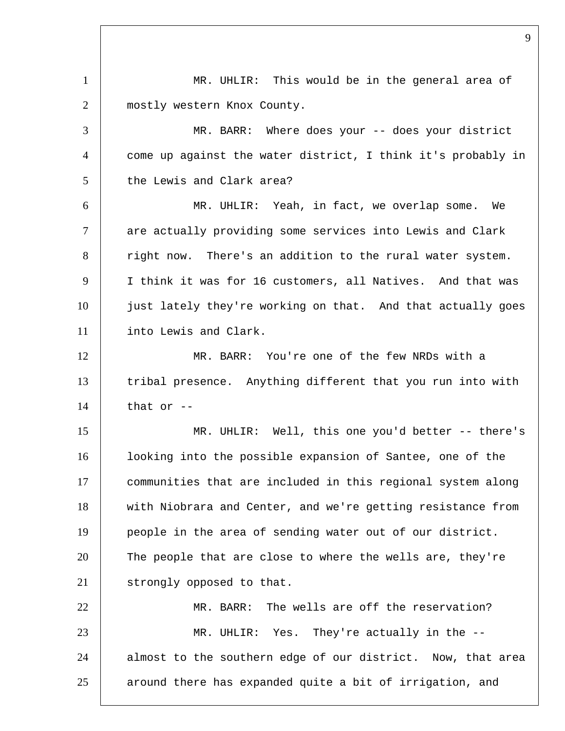1 | MR. UHLIR: This would be in the general area of 2 mostly western Knox County. 3 MR. BARR: Where does your -- does your district 4 come up against the water district, I think it's probably in 5 the Lewis and Clark area? 6 MR. UHLIR: Yeah, in fact, we overlap some. We 7 are actually providing some services into Lewis and Clark 8 right now. There's an addition to the rural water system. 9 I think it was for 16 customers, all Natives. And that was 10 just lately they're working on that. And that actually goes 11 into Lewis and Clark. 12 | MR. BARR: You're one of the few NRDs with a 13 tribal presence. Anything different that you run into with  $14$  that or  $-$ 15 MR. UHLIR: Well, this one you'd better -- there's 16 | looking into the possible expansion of Santee, one of the 17 communities that are included in this regional system along 18 with Niobrara and Center, and we're getting resistance from 19 people in the area of sending water out of our district. 20 The people that are close to where the wells are, they're 21 | strongly opposed to that. 22 MR. BARR: The wells are off the reservation? 23 MR. UHLIR: Yes. They're actually in the -- 24 almost to the southern edge of our district. Now, that area 25 around there has expanded quite a bit of irrigation, and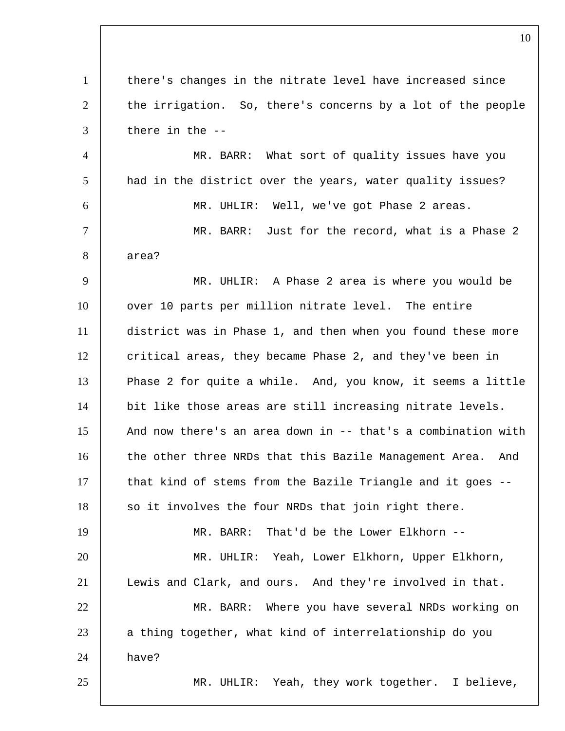1 there's changes in the nitrate level have increased since 2 the irrigation. So, there's concerns by a lot of the people there in the  $-$  MR. BARR: What sort of quality issues have you had in the district over the years, water quality issues? MR. UHLIR: Well, we've got Phase 2 areas. MR. BARR: Just for the record, what is a Phase 2 area? MR. UHLIR: A Phase 2 area is where you would be 10 | over 10 parts per million nitrate level. The entire district was in Phase 1, and then when you found these more 12 critical areas, they became Phase 2, and they've been in 13 Phase 2 for quite a while. And, you know, it seems a little 14 bit like those areas are still increasing nitrate levels. 15 | And now there's an area down in -- that's a combination with 16 the other three NRDs that this Bazile Management Area. And that kind of stems from the Bazile Triangle and it goes  $-$ -18 so it involves the four NRDs that join right there. MR. BARR: That'd be the Lower Elkhorn -- MR. UHLIR: Yeah, Lower Elkhorn, Upper Elkhorn, Lewis and Clark, and ours. And they're involved in that. MR. BARR: Where you have several NRDs working on 23 a thing together, what kind of interrelationship do you have? MR. UHLIR: Yeah, they work together. I believe,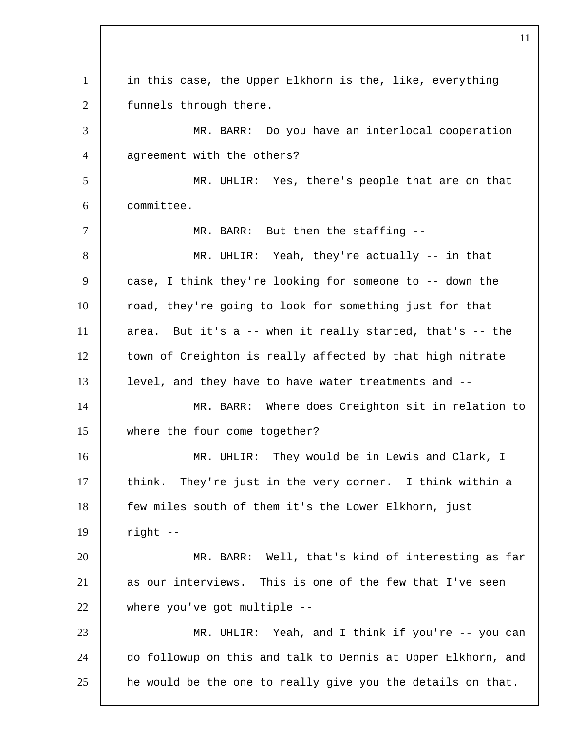1 in this case, the Upper Elkhorn is the, like, everything 2 funnels through there. MR. BARR: Do you have an interlocal cooperation 4 aqreement with the others? MR. UHLIR: Yes, there's people that are on that committee. 7 | MR. BARR: But then the staffing --8 | MR. UHLIR: Yeah, they're actually -- in that 9 case, I think they're looking for someone to -- down the 10 road, they're going to look for something just for that area. But it's a -- when it really started, that's -- the 12 | town of Creighton is really affected by that high nitrate level, and they have to have water treatments and -- MR. BARR: Where does Creighton sit in relation to where the four come together? 16 | MR. UHLIR: They would be in Lewis and Clark, I think. They're just in the very corner. I think within a few miles south of them it's the Lower Elkhorn, just right -- MR. BARR: Well, that's kind of interesting as far as our interviews. This is one of the few that I've seen where you've got multiple -- MR. UHLIR: Yeah, and I think if you're -- you can do followup on this and talk to Dennis at Upper Elkhorn, and 25 he would be the one to really give you the details on that.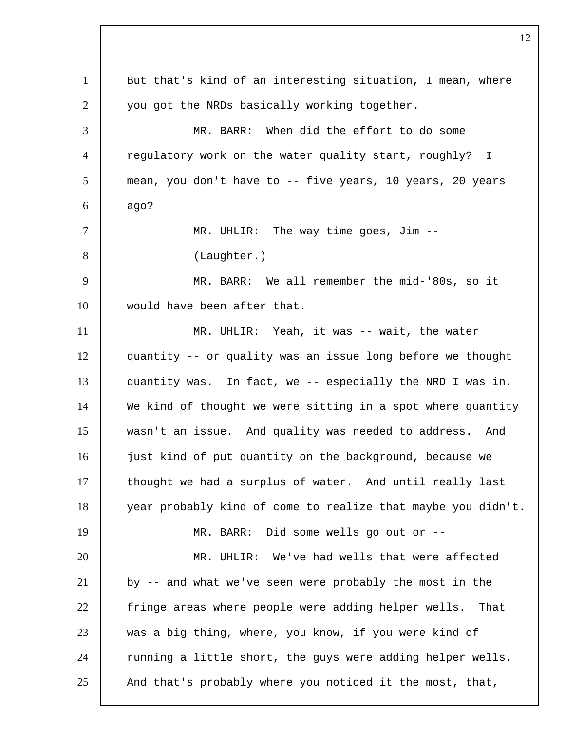1 But that's kind of an interesting situation, I mean, where 2 you got the NRDs basically working together. 3 MR. BARR: When did the effort to do some 4 regulatory work on the water quality start, roughly? I 5 mean, you don't have to -- five years, 10 years, 20 years  $6 \mid$  ago? 7 | MR. UHLIR: The way time goes, Jim --8 (Laughter.) 9 MR. BARR: We all remember the mid-'80s, so it 10 would have been after that. 11 | MR. UHLIR: Yeah, it was -- wait, the water 12 quantity -- or quality was an issue long before we thought 13 quantity was. In fact, we -- especially the NRD I was in. 14 We kind of thought we were sitting in a spot where quantity 15 wasn't an issue. And quality was needed to address. And 16 just kind of put quantity on the background, because we 17 thought we had a surplus of water. And until really last 18 year probably kind of come to realize that maybe you didn't. 19 MR. BARR: Did some wells go out or -- 20 MR. UHLIR: We've had wells that were affected 21 by -- and what we've seen were probably the most in the 22 fringe areas where people were adding helper wells. That 23 was a big thing, where, you know, if you were kind of 24 Tunning a little short, the guys were adding helper wells. 25 And that's probably where you noticed it the most, that,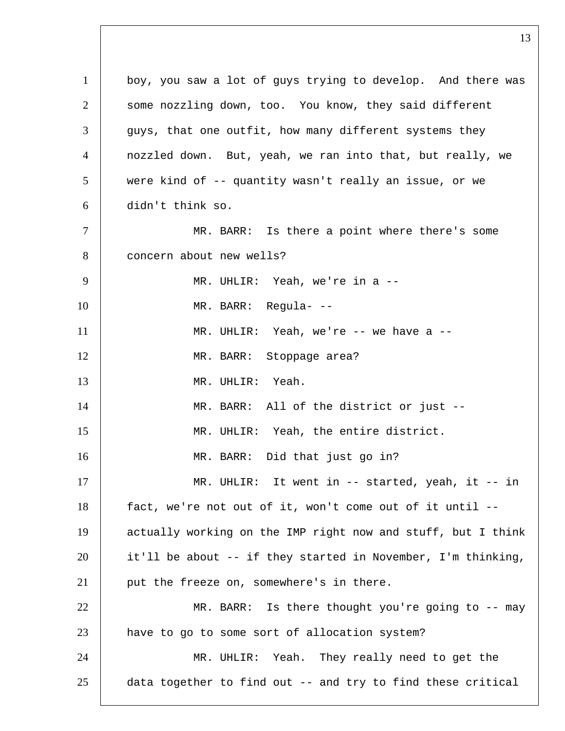1 boy, you saw a lot of guys trying to develop. And there was 2 some nozzling down, too. You know, they said different 3 guys, that one outfit, how many different systems they 4 nozzled down. But, yeah, we ran into that, but really, we 5 were kind of -- quantity wasn't really an issue, or we 6 didn't think so. 7 | MR. BARR: Is there a point where there's some 8 concern about new wells? 9 | MR. UHLIR: Yeah, we're in a --10 MR. BARR: Regula- -- 11 MR. UHLIR: Yeah, we're -- we have a -- 12 | MR. BARR: Stoppage area? 13 MR. UHLIR: Yeah. 14 | MR. BARR: All of the district or just --15 MR. UHLIR: Yeah, the entire district. 16 MR. BARR: Did that just go in? 17 | MR. UHLIR: It went in -- started, yeah, it -- in 18 fact, we're not out of it, won't come out of it until -- 19 actually working on the IMP right now and stuff, but I think 20 it'll be about -- if they started in November, I'm thinking, 21 | put the freeze on, somewhere's in there. 22 MR. BARR: Is there thought you're going to -- may 23 have to go to some sort of allocation system? 24 MR. UHLIR: Yeah. They really need to get the 25 data together to find out -- and try to find these critical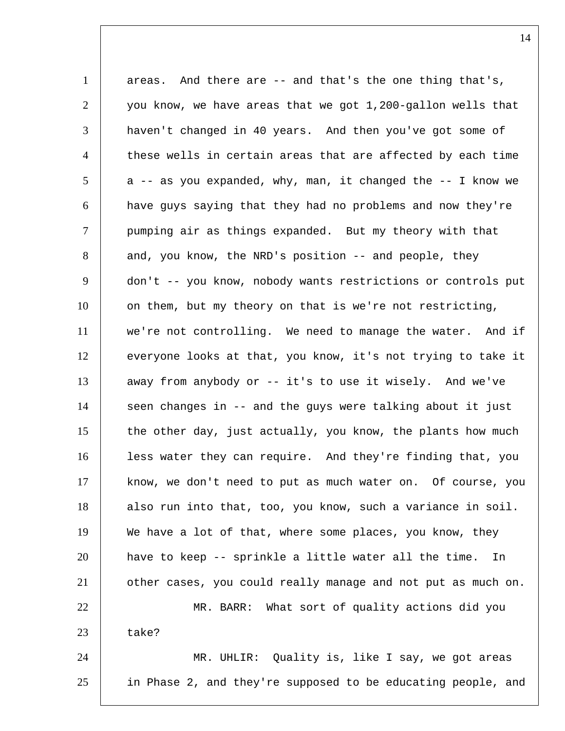1 areas. And there are -- and that's the one thing that's, 2 you know, we have areas that we got 1,200-gallon wells that 3 | haven't changed in 40 years. And then you've got some of 4 these wells in certain areas that are affected by each time  $5$  a -- as you expanded, why, man, it changed the -- I know we 6 have guys saying that they had no problems and now they're 7 pumping air as things expanded. But my theory with that 8 and, you know, the NRD's position -- and people, they 9 don't -- you know, nobody wants restrictions or controls put 10 on them, but my theory on that is we're not restricting, 11 we're not controlling. We need to manage the water. And if 12 everyone looks at that, you know, it's not trying to take it 13 away from anybody or -- it's to use it wisely. And we've  $14$  seen changes in -- and the guys were talking about it just 15 the other day, just actually, you know, the plants how much 16 | less water they can require. And they're finding that, you 17 | know, we don't need to put as much water on. Of course, you 18 also run into that, too, you know, such a variance in soil. 19 We have a lot of that, where some places, you know, they 20 have to keep -- sprinkle a little water all the time. In 21 other cases, you could really manage and not put as much on. 22 MR. BARR: What sort of quality actions did you  $23$  take? 24 MR. UHLIR: Quality is, like I say, we got areas 25 in Phase 2, and they're supposed to be educating people, and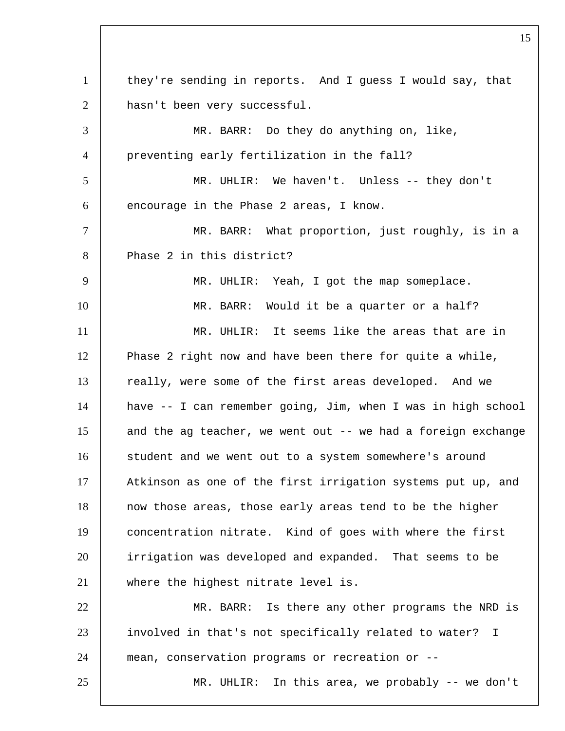1 they're sending in reports. And I guess I would say, that 2 hasn't been very successful. 3 MR. BARR: Do they do anything on, like, 4 preventing early fertilization in the fall? 5 MR. UHLIR: We haven't. Unless -- they don't  $6$  encourage in the Phase 2 areas, I know. 7 | MR. BARR: What proportion, just roughly, is in a 8 Phase 2 in this district? 9 | MR. UHLIR: Yeah, I got the map someplace. 10 MR. BARR: Would it be a quarter or a half? 11 MR. UHLIR: It seems like the areas that are in 12 Phase 2 right now and have been there for quite a while, 13 really, were some of the first areas developed. And we 14 have -- I can remember going, Jim, when I was in high school 15 and the ag teacher, we went out -- we had a foreign exchange 16 | student and we went out to a system somewhere's around 17 | Atkinson as one of the first irrigation systems put up, and 18 now those areas, those early areas tend to be the higher 19 concentration nitrate. Kind of goes with where the first 20 irrigation was developed and expanded. That seems to be 21 | where the highest nitrate level is. 22 MR. BARR: Is there any other programs the NRD is 23 involved in that's not specifically related to water? I 24 mean, conservation programs or recreation or -- 25 MR. UHLIR: In this area, we probably -- we don't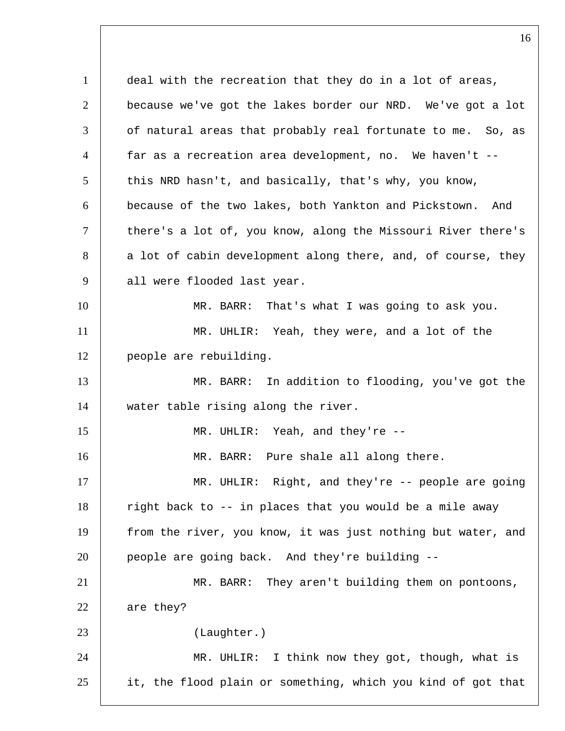1 deal with the recreation that they do in a lot of areas, because we've got the lakes border our NRD. We've got a lot | of natural areas that probably real fortunate to me. So, as far as a recreation area development, no. We haven't -- 5 this NRD hasn't, and basically, that's why, you know, because of the two lakes, both Yankton and Pickstown. And 7 there's a lot of, you know, along the Missouri River there's 8 a lot of cabin development along there, and, of course, they 9 all were flooded last year. MR. BARR: That's what I was going to ask you. MR. UHLIR: Yeah, they were, and a lot of the people are rebuilding. MR. BARR: In addition to flooding, you've got the 14 water table rising along the river. MR. UHLIR: Yeah, and they're -- 16 | MR. BARR: Pure shale all along there. 17 | MR. UHLIR: Right, and they're -- people are going right back to  $-$  in places that you would be a mile away 19 from the river, you know, it was just nothing but water, and people are going back. And they're building -- MR. BARR: They aren't building them on pontoons, 22 are they? (Laughter.) MR. UHLIR: I think now they got, though, what is it, the flood plain or something, which you kind of got that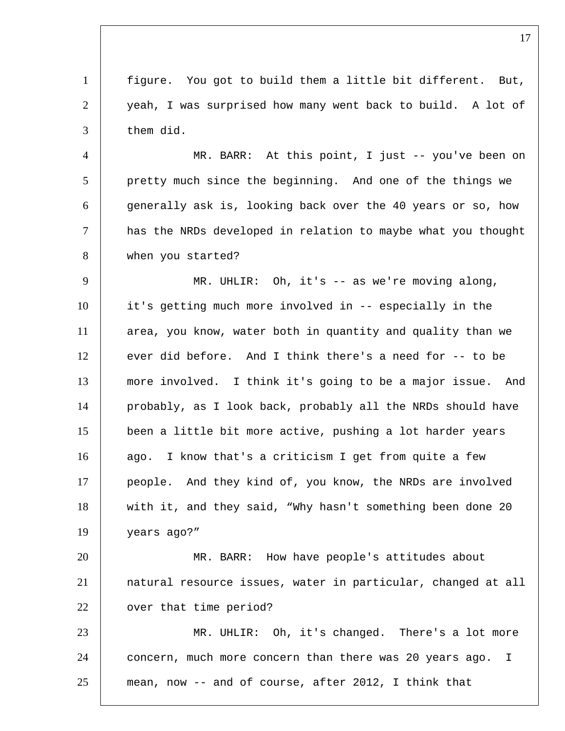figure. You got to build them a little bit different. But, yeah, I was surprised how many went back to build. A lot of them did.

 MR. BARR: At this point, I just -- you've been on 5 pretty much since the beginning. And one of the things we generally ask is, looking back over the 40 years or so, how has the NRDs developed in relation to maybe what you thought when you started?

 MR. UHLIR: Oh, it's -- as we're moving along, it's getting much more involved in -- especially in the area, you know, water both in quantity and quality than we ever did before. And I think there's a need for  $-$ - to be more involved. I think it's going to be a major issue. And probably, as I look back, probably all the NRDs should have been a little bit more active, pushing a lot harder years 16 ago. I know that's a criticism I get from quite a few 17 people. And they kind of, you know, the NRDs are involved 18 with it, and they said, "Why hasn't something been done 20 years ago?"

 MR. BARR: How have people's attitudes about natural resource issues, water in particular, changed at all 22 | over that time period?

 MR. UHLIR: Oh, it's changed. There's a lot more concern, much more concern than there was 20 years ago. I mean, now -- and of course, after 2012, I think that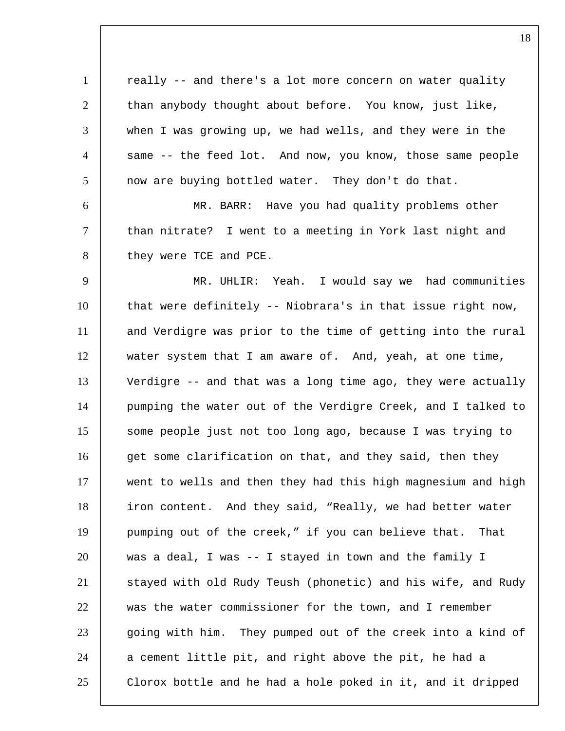1 | really -- and there's a lot more concern on water quality 2 than anybody thought about before. You know, just like, 3 when I was growing up, we had wells, and they were in the 4 same -- the feed lot. And now, you know, those same people 5 now are buying bottled water. They don't do that. 6 MR. BARR: Have you had quality problems other 7 than nitrate? I went to a meeting in York last night and 8 they were TCE and PCE. 9 MR. UHLIR: Yeah. I would say we had communities 10 that were definitely -- Niobrara's in that issue right now, 11 and Verdigre was prior to the time of getting into the rural 12 water system that I am aware of. And, yeah, at one time, 13 Verdigre -- and that was a long time ago, they were actually 14 pumping the water out of the Verdigre Creek, and I talked to 15 some people just not too long ago, because I was trying to 16 get some clarification on that, and they said, then they 17 went to wells and then they had this high magnesium and high 18 | iron content. And they said, "Really, we had better water 19 pumping out of the creek," if you can believe that. That 20 was a deal, I was -- I stayed in town and the family I 21 Stayed with old Rudy Teush (phonetic) and his wife, and Rudy 22 was the water commissioner for the town, and I remember 23 going with him. They pumped out of the creek into a kind of  $24$  a cement little pit, and right above the pit, he had a 25 Clorox bottle and he had a hole poked in it, and it dripped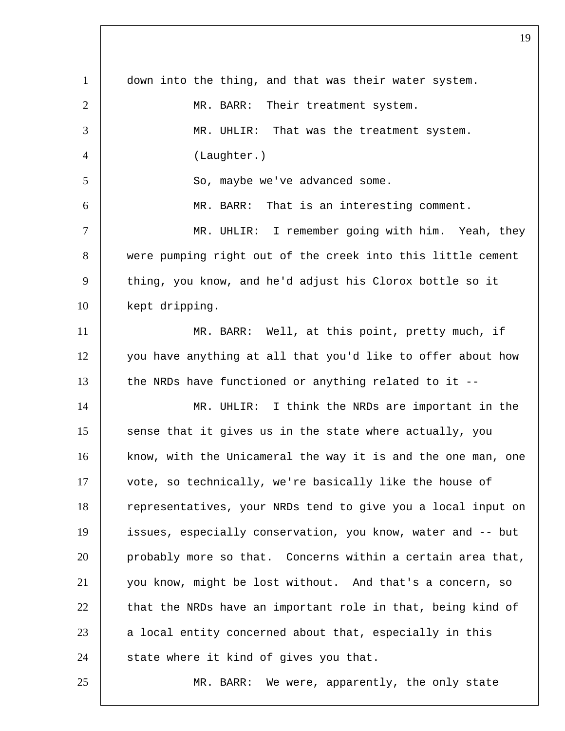| $\mathbf{1}$   | down into the thing, and that was their water system.        |
|----------------|--------------------------------------------------------------|
| $\overline{2}$ | MR. BARR: Their treatment system.                            |
| 3              | MR. UHLIR: That was the treatment system.                    |
| $\overline{4}$ | (Laughter.)                                                  |
| 5              | So, maybe we've advanced some.                               |
| 6              | MR. BARR: That is an interesting comment.                    |
| $\tau$         | MR. UHLIR: I remember going with him. Yeah, they             |
| 8              | were pumping right out of the creek into this little cement  |
| 9              | thing, you know, and he'd adjust his Clorox bottle so it     |
| 10             | kept dripping.                                               |
| 11             | MR. BARR: Well, at this point, pretty much, if               |
| 12             | you have anything at all that you'd like to offer about how  |
| 13             | the NRDs have functioned or anything related to it --        |
| 14             | MR. UHLIR: I think the NRDs are important in the             |
| 15             | sense that it gives us in the state where actually, you      |
| 16             | know, with the Unicameral the way it is and the one man, one |
| 17             | vote, so technically, we're basically like the house of      |
| 18             | representatives, your NRDs tend to give you a local input on |
| 19             | issues, especially conservation, you know, water and -- but  |
| 20             | probably more so that. Concerns within a certain area that,  |
| 21             | you know, might be lost without. And that's a concern, so    |
| 22             | that the NRDs have an important role in that, being kind of  |
| 23             | a local entity concerned about that, especially in this      |
| 24             | state where it kind of gives you that.                       |
| 25             | MR. BARR: We were, apparently, the only state                |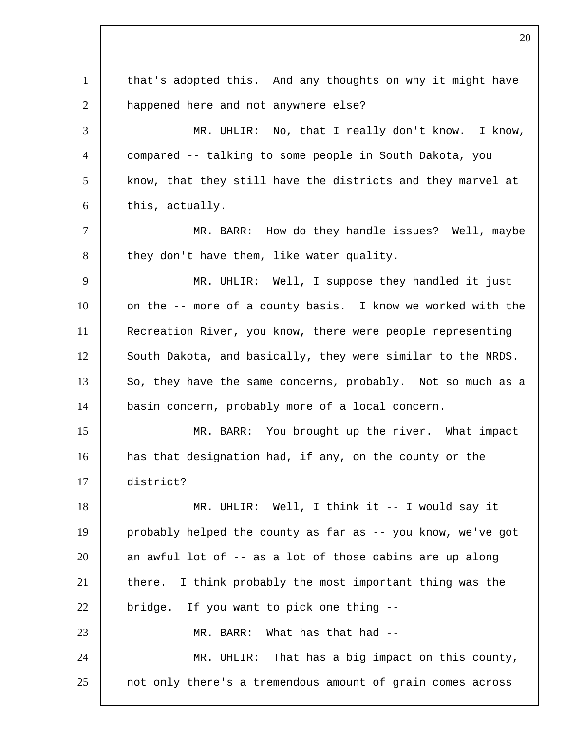1 that's adopted this. And any thoughts on why it might have 2 | happened here and not anywhere else? 3 MR. UHLIR: No, that I really don't know. I know, 4 compared -- talking to some people in South Dakota, you 5 know, that they still have the districts and they marvel at  $6$  this, actually. 7 | MR. BARR: How do they handle issues? Well, maybe 8 they don't have them, like water quality. 9 | MR. UHLIR: Well, I suppose they handled it just 10 on the -- more of a county basis. I know we worked with the 11 Recreation River, you know, there were people representing 12 South Dakota, and basically, they were similar to the NRDS. 13 So, they have the same concerns, probably. Not so much as a 14 basin concern, probably more of a local concern. 15 MR. BARR: You brought up the river. What impact 16 has that designation had, if any, on the county or the 17 district? 18 MR. UHLIR: Well, I think it -- I would say it 19 probably helped the county as far as -- you know, we've got  $20$  an awful lot of  $-$  as a lot of those cabins are up along 21 there. I think probably the most important thing was the  $22$  | bridge. If you want to pick one thing  $-$ 23 MR. BARR: What has that had --24 MR. UHLIR: That has a big impact on this county, 25 not only there's a tremendous amount of grain comes across